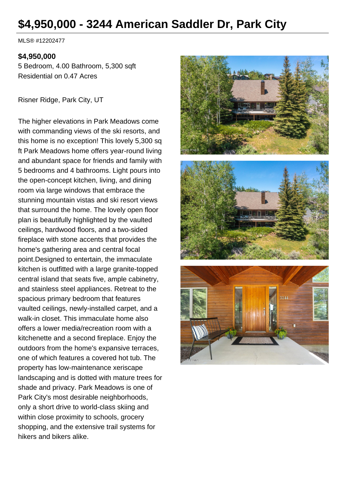# **\$4,950,000 - 3244 American Saddler Dr, Park City**

MLS® #12202477

#### **\$4,950,000**

5 Bedroom, 4.00 Bathroom, 5,300 sqft Residential on 0.47 Acres

Risner Ridge, Park City, UT

The higher elevations in Park Meadows come with commanding views of the ski resorts, and this home is no exception! This lovely 5,300 sq ft Park Meadows home offers year-round living and abundant space for friends and family with 5 bedrooms and 4 bathrooms. Light pours into the open-concept kitchen, living, and dining room via large windows that embrace the stunning mountain vistas and ski resort views that surround the home. The lovely open floor plan is beautifully highlighted by the vaulted ceilings, hardwood floors, and a two-sided fireplace with stone accents that provides the home's gathering area and central focal point.Designed to entertain, the immaculate kitchen is outfitted with a large granite-topped central island that seats five, ample cabinetry, and stainless steel appliances. Retreat to the spacious primary bedroom that features vaulted ceilings, newly-installed carpet, and a walk-in closet. This immaculate home also offers a lower media/recreation room with a kitchenette and a second fireplace. Enjoy the outdoors from the home's expansive terraces, one of which features a covered hot tub. The property has low-maintenance xeriscape landscaping and is dotted with mature trees for shade and privacy. Park Meadows is one of Park City's most desirable neighborhoods, only a short drive to world-class skiing and within close proximity to schools, grocery shopping, and the extensive trail systems for hikers and bikers alike.

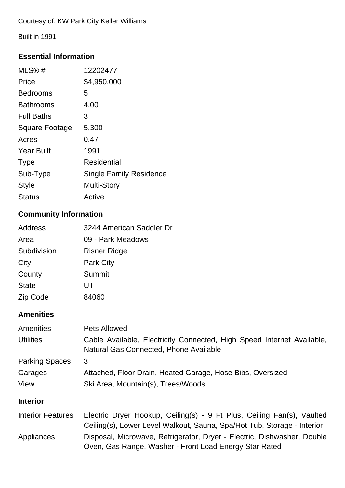Courtesy of: KW Park City Keller Williams

Built in 1991

# **Essential Information**

| MLS®#                 | 12202477                       |
|-----------------------|--------------------------------|
| Price                 | \$4,950,000                    |
| <b>Bedrooms</b>       | 5                              |
| <b>Bathrooms</b>      | 4.00                           |
| <b>Full Baths</b>     | З                              |
| <b>Square Footage</b> | 5,300                          |
| Acres                 | 0.47                           |
| <b>Year Built</b>     | 1991                           |
| <b>Type</b>           | Residential                    |
| Sub-Type              | <b>Single Family Residence</b> |
| <b>Style</b>          | <b>Multi-Story</b>             |
| <b>Status</b>         | Active                         |
|                       |                                |

# **Community Information**

| <b>Address</b> | 3244 American Saddler Dr |
|----------------|--------------------------|
| Area           | 09 - Park Meadows        |
| Subdivision    | <b>Risner Ridge</b>      |
| City           | <b>Park City</b>         |
| County         | Summit                   |
| <b>State</b>   | UT                       |
| Zip Code       | 84060                    |

# **Amenities**

| <b>Amenities</b>      | Pets Allowed                                                                                                     |
|-----------------------|------------------------------------------------------------------------------------------------------------------|
| <b>Utilities</b>      | Cable Available, Electricity Connected, High Speed Internet Available,<br>Natural Gas Connected, Phone Available |
| <b>Parking Spaces</b> | 3                                                                                                                |
| Garages               | Attached, Floor Drain, Heated Garage, Hose Bibs, Oversized                                                       |
| View                  | Ski Area, Mountain(s), Trees/Woods                                                                               |
|                       |                                                                                                                  |

## **Interior**

| <b>Interior Features</b> | Electric Dryer Hookup, Ceiling(s) - 9 Ft Plus, Ceiling Fan(s), Vaulted<br>Ceiling(s), Lower Level Walkout, Sauna, Spa/Hot Tub, Storage - Interior |
|--------------------------|---------------------------------------------------------------------------------------------------------------------------------------------------|
| Appliances               | Disposal, Microwave, Refrigerator, Dryer - Electric, Dishwasher, Double<br>Oven, Gas Range, Washer - Front Load Energy Star Rated                 |